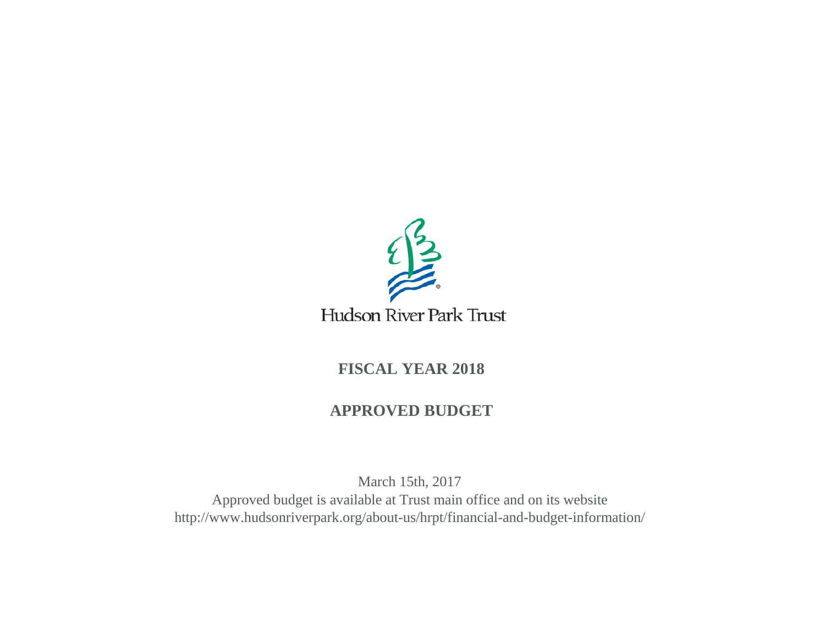

# Hudson River Park Trust

# **FISCAL YEAR 2018**

# **APPROVED BUDGET**

March 15th, 2017 Approved budget is available at Trust main office and on its website http://www.hudsonriverpark.org/about-us/hrpt/financial-and-budget-information/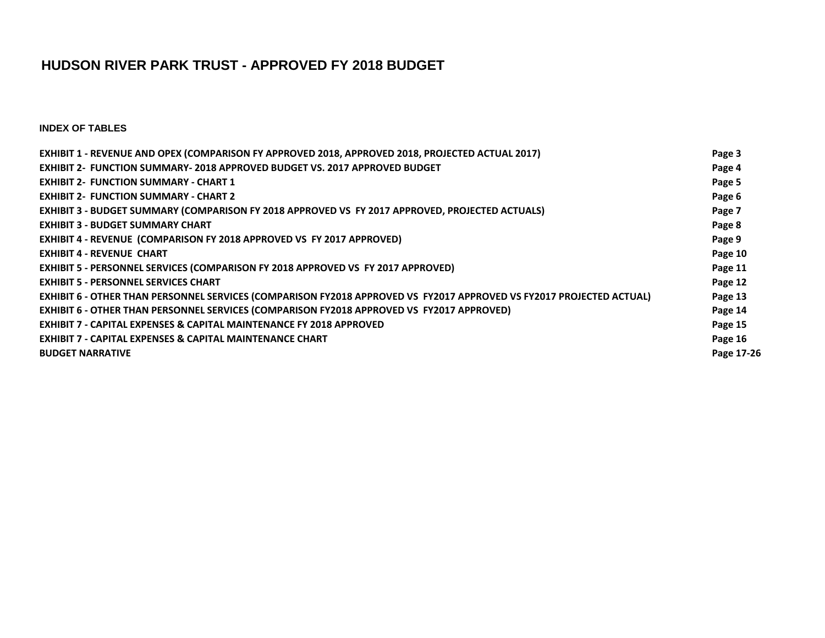# **HUDSON RIVER PARK TRUST - APPROVED FY 2018 BUDGET**

**INDEX OF TABLES**

| EXHIBIT 1 - REVENUE AND OPEX (COMPARISON FY APPROVED 2018, APPROVED 2018, PROJECTED ACTUAL 2017)                     | Page 3     |
|----------------------------------------------------------------------------------------------------------------------|------------|
| <b>EXHIBIT 2- FUNCTION SUMMARY-2018 APPROVED BUDGET VS. 2017 APPROVED BUDGET</b>                                     | Page 4     |
| <b>EXHIBIT 2- FUNCTION SUMMARY - CHART 1</b>                                                                         | Page 5     |
| <b>EXHIBIT 2- FUNCTION SUMMARY - CHART 2</b>                                                                         | Page 6     |
| EXHIBIT 3 - BUDGET SUMMARY (COMPARISON FY 2018 APPROVED VS FY 2017 APPROVED, PROJECTED ACTUALS)                      | Page 7     |
| <b>EXHIBIT 3 - BUDGET SUMMARY CHART</b>                                                                              | Page 8     |
| <b>EXHIBIT 4 - REVENUE (COMPARISON FY 2018 APPROVED VS FY 2017 APPROVED)</b>                                         | Page 9     |
| <b>EXHIBIT 4 - REVENUE CHART</b>                                                                                     | Page 10    |
| EXHIBIT 5 - PERSONNEL SERVICES (COMPARISON FY 2018 APPROVED VS FY 2017 APPROVED)                                     | Page 11    |
| <b>EXHIBIT 5 - PERSONNEL SERVICES CHART</b>                                                                          | Page 12    |
| EXHIBIT 6 - OTHER THAN PERSONNEL SERVICES (COMPARISON FY2018 APPROVED VS FY2017 APPROVED VS FY2017 PROJECTED ACTUAL) | Page 13    |
| <b>EXHIBIT 6 - OTHER THAN PERSONNEL SERVICES (COMPARISON FY2018 APPROVED VS FY2017 APPROVED)</b>                     | Page 14    |
| <b>EXHIBIT 7 - CAPITAL EXPENSES &amp; CAPITAL MAINTENANCE FY 2018 APPROVED</b>                                       | Page 15    |
| <b>EXHIBIT 7 - CAPITAL EXPENSES &amp; CAPITAL MAINTENANCE CHART</b>                                                  | Page 16    |
| <b>BUDGET NARRATIVE</b>                                                                                              | Page 17-26 |
|                                                                                                                      |            |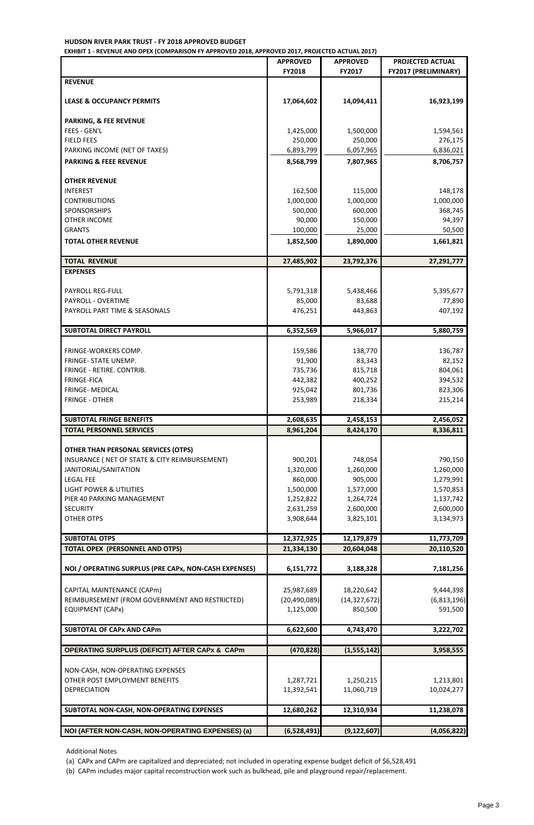## **HUDSON RIVER PARK TRUST - FY 2018 APPROVED BUDGET**

**EXHIBIT 1 - REVENUE AND OPEX (COMPARISON FY APPROVED 2018, APPROVED 2017, PROJECTED ACTUAL 2017)**

|                                                                | <b>APPROVED</b><br><b>FY2018</b> | <b>APPROVED</b><br>FY2017 | <b>PROJECTED ACTUAL</b><br><b>FY2017 (PRELIMINARY)</b> |
|----------------------------------------------------------------|----------------------------------|---------------------------|--------------------------------------------------------|
| <b>REVENUE</b>                                                 |                                  |                           |                                                        |
|                                                                |                                  |                           |                                                        |
| <b>LEASE &amp; OCCUPANCY PERMITS</b>                           | 17,064,602                       | 14,094,411                | 16,923,199                                             |
|                                                                |                                  |                           |                                                        |
| <b>PARKING, &amp; FEE REVENUE</b>                              |                                  |                           |                                                        |
| FEES - GEN'L                                                   | 1,425,000                        | 1,500,000                 | 1,594,561                                              |
| <b>FIELD FEES</b><br>PARKING INCOME (NET OF TAXES)             | 250,000<br>6,893,799             | 250,000<br>6,057,965      | 276,175<br>6,836,021                                   |
| <b>PARKING &amp; FEEE REVENUE</b>                              | 8,568,799                        | 7,807,965                 | 8,706,757                                              |
|                                                                |                                  |                           |                                                        |
| <b>OTHER REVENUE</b>                                           |                                  |                           |                                                        |
| <b>INTEREST</b>                                                | 162,500                          | 115,000                   | 148,178                                                |
| <b>CONTRIBUTIONS</b>                                           | 1,000,000                        | 1,000,000                 | 1,000,000                                              |
| <b>SPONSORSHIPS</b>                                            | 500,000                          | 600,000                   | 368,745                                                |
| <b>OTHER INCOME</b>                                            | 90,000                           | 150,000                   | 94,397                                                 |
| <b>GRANTS</b>                                                  | 100,000                          | 25,000                    | 50,500                                                 |
| <b>TOTAL OTHER REVENUE</b>                                     | 1,852,500                        | 1,890,000                 | 1,661,821                                              |
| <b>TOTAL REVENUE</b>                                           | 27,485,902                       | 23,792,376                | 27,291,777                                             |
| <b>EXPENSES</b>                                                |                                  |                           |                                                        |
|                                                                |                                  |                           |                                                        |
| <b>PAYROLL REG-FULL</b>                                        | 5,791,318                        | 5,438,466                 | 5,395,677                                              |
| PAYROLL - OVERTIME                                             | 85,000                           | 83,688                    | 77,890                                                 |
| PAYROLL PART TIME & SEASONALS                                  | 476,251                          | 443,863                   | 407,192                                                |
| <b>SUBTOTAL DIRECT PAYROLL</b>                                 | 6,352,569                        | 5,966,017                 | 5,880,759                                              |
|                                                                |                                  |                           |                                                        |
| FRINGE-WORKERS COMP.                                           | 159,586                          | 138,770                   | 136,787                                                |
| FRINGE- STATE UNEMP.                                           | 91,900                           | 83,343                    | 82,152                                                 |
| FRINGE - RETIRE. CONTRIB.                                      | 735,736                          | 815,718                   | 804,061                                                |
| <b>FRINGE-FICA</b>                                             | 442,382                          | 400,252                   | 394,532                                                |
| <b>FRINGE- MEDICAL</b>                                         | 925,042                          | 801,736                   | 823,306                                                |
| <b>FRINGE - OTHER</b>                                          | 253,989                          | 218,334                   | 215,214                                                |
| <b>SUBTOTAL FRINGE BENEFITS</b>                                | 2,608,635                        | 2,458,153                 | 2,456,052                                              |
| <b>TOTAL PERSONNEL SERVICES</b>                                | 8,961,204                        | 8,424,170                 | 8,336,811                                              |
|                                                                |                                  |                           |                                                        |
| <b>OTHER THAN PERSONAL SERVICES (OTPS)</b>                     |                                  |                           |                                                        |
| INSURANCE ( NET OF STATE & CITY REIMBURSEMENT)                 | 900,201                          | 748,054                   | 790,150                                                |
| JANITORIAL/SANITATION<br><b>LEGAL FEE</b>                      | 1,320,000<br>860,000             | 1,260,000<br>905,000      | 1,260,000<br>1,279,991                                 |
| <b>LIGHT POWER &amp; UTILITIES</b>                             | 1,500,000                        | 1,577,000                 | 1,570,853                                              |
| PIER 40 PARKING MANAGEMENT                                     | 1,252,822                        | 1,264,724                 | 1,137,742                                              |
| <b>SECURITY</b>                                                | 2,631,259                        | 2,600,000                 | 2,600,000                                              |
| <b>OTHER OTPS</b>                                              | 3,908,644                        | 3,825,101                 | 3,134,973                                              |
|                                                                |                                  |                           |                                                        |
| <b>SUBTOTAL OTPS</b><br><b>TOTAL OPEX (PERSONNEL AND OTPS)</b> | 12,372,925<br>21,334,130         | 12,179,879<br>20,604,048  | 11,773,709<br>20,110,520                               |
|                                                                |                                  |                           |                                                        |
| NOI / OPERATING SURPLUS (PRE CAPx, NON-CASH EXPENSES)          | 6,151,772                        | 3,188,328                 | 7,181,256                                              |
|                                                                |                                  |                           |                                                        |
| CAPITAL MAINTENANCE (CAPm)                                     | 25,987,689                       | 18,220,642                | 9,444,398                                              |
| REIMBURSEMENT (FROM GOVERNMENT AND RESTRICTED)                 | (20, 490, 089)                   | (14, 327, 672)            | (6,813,196)                                            |
| <b>EQUIPMENT (CAPx)</b>                                        | 1,125,000                        | 850,500                   | 591,500                                                |
| <b>SUBTOTAL OF CAPx AND CAPm</b>                               | 6,622,600                        | 4,743,470                 | 3,222,702                                              |
|                                                                |                                  |                           |                                                        |
| <b>OPERATING SURPLUS (DEFICIT) AFTER CAPx &amp; CAPm</b>       | (470, 828)                       | (1, 555, 142)             | 3,958,555                                              |
|                                                                |                                  |                           |                                                        |
| NON-CASH, NON-OPERATING EXPENSES                               |                                  |                           |                                                        |
| OTHER POST EMPLOYMENT BENEFITS<br><b>DEPRECIATION</b>          | 1,287,721                        | 1,250,215<br>11,060,719   | 1,213,801<br>10,024,277                                |
|                                                                | 11,392,541                       |                           |                                                        |
| SUBTOTAL NON-CASH, NON-OPERATING EXPENSES                      | 12,680,262                       | 12,310,934                | 11,238,078                                             |
|                                                                |                                  |                           |                                                        |
| NOI (AFTER NON-CASH, NON-OPERATING EXPENSES) (a)               | (6,528,491)                      | (9, 122, 607)             | (4,056,822)                                            |

Additional Notes

(a) CAPx and CAPm are capitalized and depreciated; not included in operating expense budget deficit of \$6,528,491

(b) CAPm includes major capital reconstruction work such as bulkhead, pile and playground repair/replacement.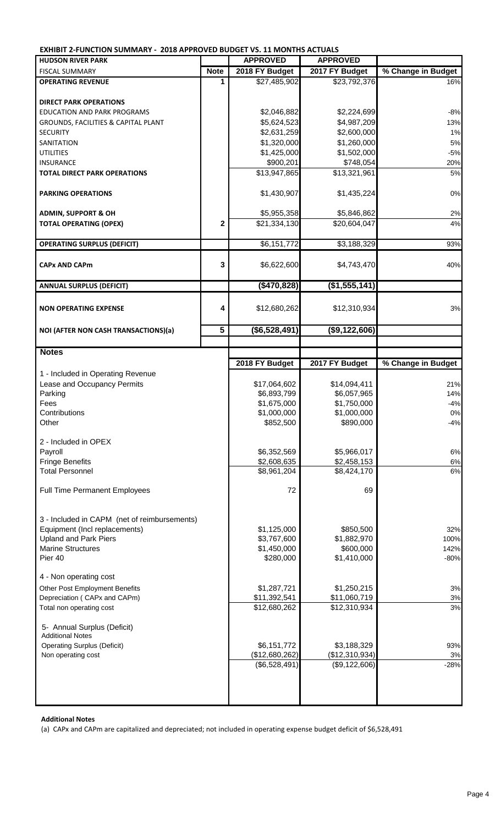**EXHIBIT 2-FUNCTION SUMMARY - 2018 APPROVED BUDGET VS. 11 MONTHS ACTUALS**

| <b>HUDSON RIVER PARK</b>                                      |                | <b>APPROVED</b>            | <b>APPROVED</b>          |                             |
|---------------------------------------------------------------|----------------|----------------------------|--------------------------|-----------------------------|
| <b>FISCAL SUMMARY</b>                                         | <b>Note</b>    | 2018 FY Budget             | 2017 FY Budget           | % Change in Budget          |
| <b>OPERATING REVENUE</b>                                      | 1              | \$27,485,902               | \$23,792,376             | 16%                         |
|                                                               |                |                            |                          |                             |
| <b>DIRECT PARK OPERATIONS</b>                                 |                |                            |                          |                             |
| <b>EDUCATION AND PARK PROGRAMS</b>                            |                | \$2,046,882                | \$2,224,699              | $-8%$                       |
|                                                               |                | \$5,624,523                | \$4,987,209              | 13%                         |
| GROUNDS, FACILITIES & CAPITAL PLANT                           |                | \$2,631,259                |                          |                             |
| <b>SECURITY</b>                                               |                |                            | \$2,600,000              | 1%                          |
| SANITATION                                                    |                | \$1,320,000                | \$1,260,000              | 5%                          |
| <b>UTILITIES</b>                                              |                | \$1,425,000                | \$1,502,000              | $-5%$                       |
| <b>INSURANCE</b>                                              |                | \$900,201                  | \$748,054                | 20%                         |
| <b>TOTAL DIRECT PARK OPERATIONS</b>                           |                | \$13,947,865               | \$13,321,961             | 5%                          |
| <b>PARKING OPERATIONS</b>                                     |                | \$1,430,907                | \$1,435,224              | $0\%$                       |
| <b>ADMIN, SUPPORT &amp; OH</b>                                |                | \$5,955,358                | \$5,846,862              | 2%                          |
| <b>TOTAL OPERATING (OPEX)</b>                                 | 2              | \$21,334,130               | \$20,604,047             | 4%                          |
|                                                               |                |                            |                          |                             |
| <b>OPERATING SURPLUS (DEFICIT)</b>                            |                | \$6,151,772                | \$3,188,329              | 93%                         |
|                                                               |                |                            |                          |                             |
| <b>CAPx AND CAPm</b>                                          | 3              | \$6,622,600                | \$4,743,470              | 40%                         |
| <b>ANNUAL SURPLUS (DEFICIT)</b>                               |                | (\$470,828)                | (\$1,555,141)            |                             |
|                                                               |                |                            |                          |                             |
| <b>NON OPERATING EXPENSE</b>                                  | 4              | \$12,680,262               | \$12,310,934             | 3%                          |
| NOI (AFTER NON CASH TRANSACTIONS)(a)                          | $\overline{5}$ | (\$6,528,491)              | (\$9,122,606)            |                             |
|                                                               |                |                            |                          |                             |
| <b>Notes</b>                                                  |                |                            |                          |                             |
|                                                               |                | 2018 FY Budget             | 2017 FY Budget           | % Change in Budget          |
|                                                               |                |                            |                          |                             |
| 1 - Included in Operating Revenue                             |                |                            |                          |                             |
| Lease and Occupancy Permits                                   |                | \$17,064,602               | \$14,094,411             | 21%                         |
|                                                               |                |                            |                          |                             |
| Parking                                                       |                | \$6,893,799                | \$6,057,965              |                             |
| Fees                                                          |                | \$1,675,000                | \$1,750,000              | $-4%$                       |
| Contributions                                                 |                | \$1,000,000                | \$1,000,000              |                             |
| Other                                                         |                | \$852,500                  | \$890,000                |                             |
|                                                               |                |                            |                          |                             |
| 2 - Included in OPEX                                          |                |                            |                          |                             |
| Payroll                                                       |                | \$6,352,569                | \$5,966,017              | 6%                          |
| <b>Fringe Benefits</b>                                        |                | \$2,608,635                | \$2,458,153              | 6%                          |
| <b>Total Personnel</b>                                        |                | \$8,961,204                | \$8,424,170              | 6%                          |
|                                                               |                |                            |                          |                             |
| <b>Full Time Permanent Employees</b>                          |                | 72                         | 69                       |                             |
|                                                               |                |                            |                          |                             |
|                                                               |                |                            |                          |                             |
| 3 - Included in CAPM (net of reimbursements)                  |                |                            |                          |                             |
| Equipment (Incl replacements)<br><b>Upland and Park Piers</b> |                | \$1,125,000<br>\$3,767,600 | \$850,500<br>\$1,882,970 | 32%<br>100%                 |
| <b>Marine Structures</b>                                      |                | \$1,450,000                | \$600,000                | 142%                        |
| Pier 40                                                       |                | \$280,000                  | \$1,410,000              | $-80%$                      |
|                                                               |                |                            |                          |                             |
| 4 - Non operating cost                                        |                |                            |                          |                             |
| Other Post Employment Benefits                                |                | \$1,287,721                | \$1,250,215              | 14%<br>$0\%$<br>$-4%$<br>3% |
| Depreciation (CAPx and CAPm)                                  |                | \$11,392,541               | \$11,060,719             | 3%                          |
| Total non operating cost                                      |                | \$12,680,262               | \$12,310,934             | 3%                          |
| 5- Annual Surplus (Deficit)                                   |                |                            |                          |                             |
| <b>Additional Notes</b>                                       |                |                            |                          |                             |
| <b>Operating Surplus (Deficit)</b>                            |                | \$6,151,772                | \$3,188,329              | 93%                         |
| Non operating cost                                            |                | (\$12,680,262)             | (\$12,310,934)           | 3%                          |
|                                                               |                | (\$6,528,491)              | (\$9,122,606)            | $-28%$                      |
|                                                               |                |                            |                          |                             |
|                                                               |                |                            |                          |                             |

 **Additional Notes** 

(a) CAPx and CAPm are capitalized and depreciated; not included in operating expense budget deficit of \$6,528,491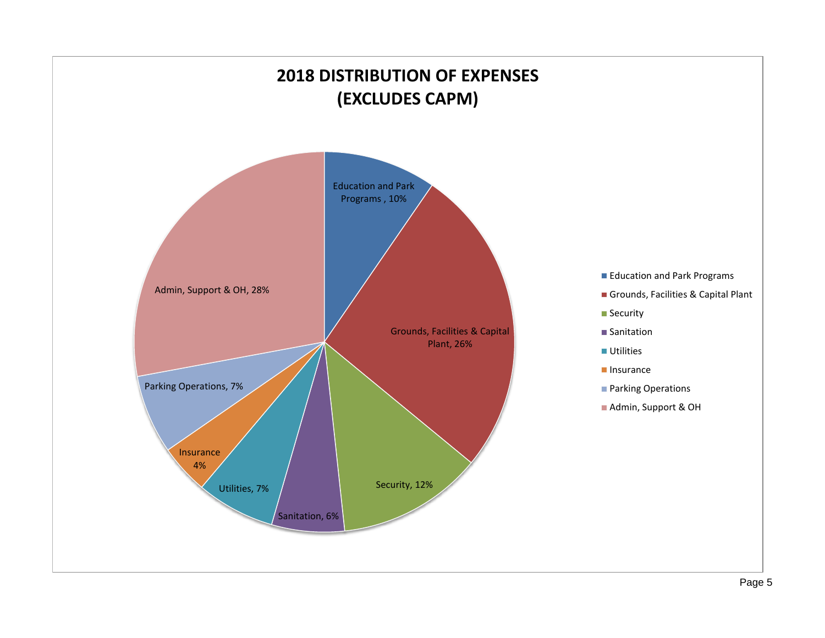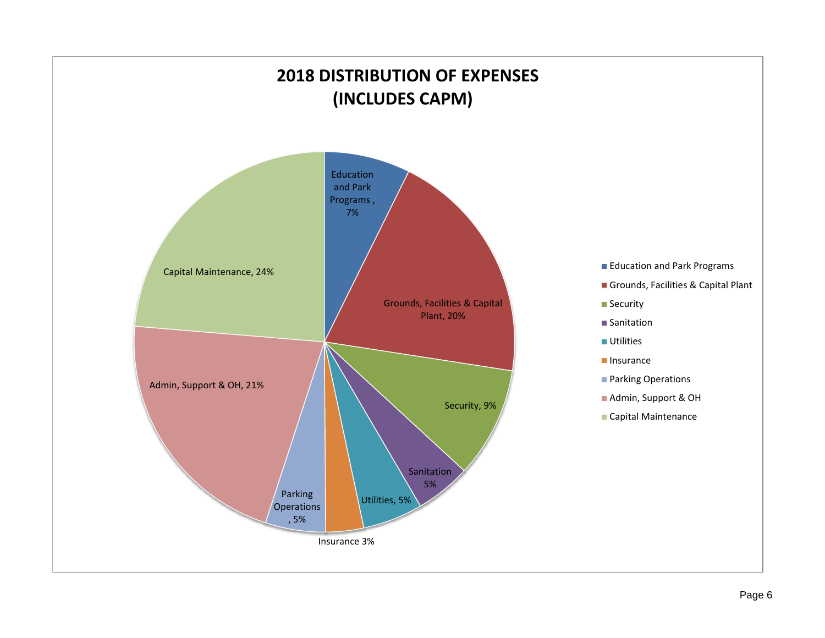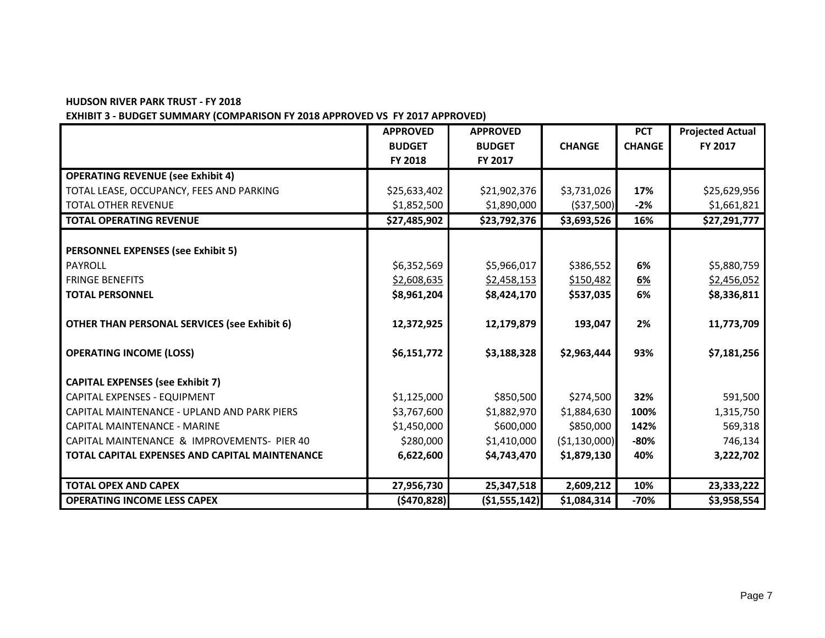#### **HUDSON RIVER PARK TRUST - FY 2018**

#### **EXHIBIT 3 - BUDGET SUMMARY (COMPARISON FY 2018 APPROVED VS FY 2017 APPROVED)**

|                                                     | <b>APPROVED</b> | <b>APPROVED</b> |                | <b>PCT</b>    | <b>Projected Actual</b> |
|-----------------------------------------------------|-----------------|-----------------|----------------|---------------|-------------------------|
|                                                     | <b>BUDGET</b>   | <b>BUDGET</b>   | <b>CHANGE</b>  | <b>CHANGE</b> | FY 2017                 |
|                                                     | FY 2018         | FY 2017         |                |               |                         |
| <b>OPERATING REVENUE (see Exhibit 4)</b>            |                 |                 |                |               |                         |
| TOTAL LEASE, OCCUPANCY, FEES AND PARKING            | \$25,633,402    | \$21,902,376    | \$3,731,026    | 17%           | \$25,629,956            |
| <b>TOTAL OTHER REVENUE</b>                          | \$1,852,500     | \$1,890,000     | ( \$37,500]    | $-2%$         | \$1,661,821             |
| <b>TOTAL OPERATING REVENUE</b>                      | \$27,485,902    | \$23,792,376    | \$3,693,526    | 16%           | \$27,291,777            |
|                                                     |                 |                 |                |               |                         |
| <b>PERSONNEL EXPENSES (see Exhibit 5)</b>           |                 |                 |                |               |                         |
| PAYROLL                                             | \$6,352,569     | \$5,966,017     | \$386,552      | 6%            | \$5,880,759             |
| <b>FRINGE BENEFITS</b>                              | \$2,608,635     | \$2,458,153     | \$150,482      | <u>6%</u>     | \$2,456,052             |
| <b>TOTAL PERSONNEL</b>                              | \$8,961,204     | \$8,424,170     | \$537,035      | 6%            | \$8,336,811             |
|                                                     |                 |                 |                |               |                         |
| <b>OTHER THAN PERSONAL SERVICES (see Exhibit 6)</b> | 12,372,925      | 12,179,879      | 193,047        | 2%            | 11,773,709              |
| <b>OPERATING INCOME (LOSS)</b>                      | \$6,151,772     | \$3,188,328     | \$2,963,444    | 93%           | \$7,181,256             |
| <b>CAPITAL EXPENSES (see Exhibit 7)</b>             |                 |                 |                |               |                         |
| CAPITAL EXPENSES - EQUIPMENT                        | \$1,125,000     | \$850,500       | \$274,500      | 32%           | 591,500                 |
| CAPITAL MAINTENANCE - UPLAND AND PARK PIERS         | \$3,767,600     | \$1,882,970     | \$1,884,630    | 100%          | 1,315,750               |
| <b>CAPITAL MAINTENANCE - MARINE</b>                 | \$1,450,000     | \$600,000       | \$850,000      | 142%          | 569,318                 |
| CAPITAL MAINTENANCE & IMPROVEMENTS- PIER 40         | \$280,000       | \$1,410,000     | ( \$1,130,000) | $-80%$        | 746,134                 |
| TOTAL CAPITAL EXPENSES AND CAPITAL MAINTENANCE      | 6,622,600       | \$4,743,470     | \$1,879,130    | 40%           | 3,222,702               |
|                                                     |                 |                 |                |               |                         |
| <b>TOTAL OPEX AND CAPEX</b>                         | 27,956,730      | 25,347,518      | 2,609,212      | 10%           | 23,333,222              |
| <b>OPERATING INCOME LESS CAPEX</b>                  | ( \$470, 828]   | ( \$1,555,142)  | \$1,084,314    | $-70%$        | \$3,958,554             |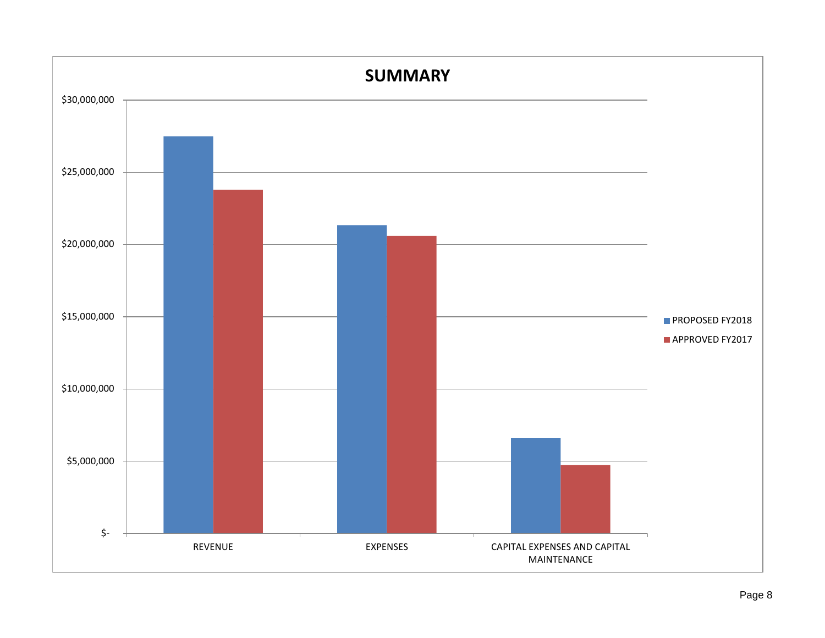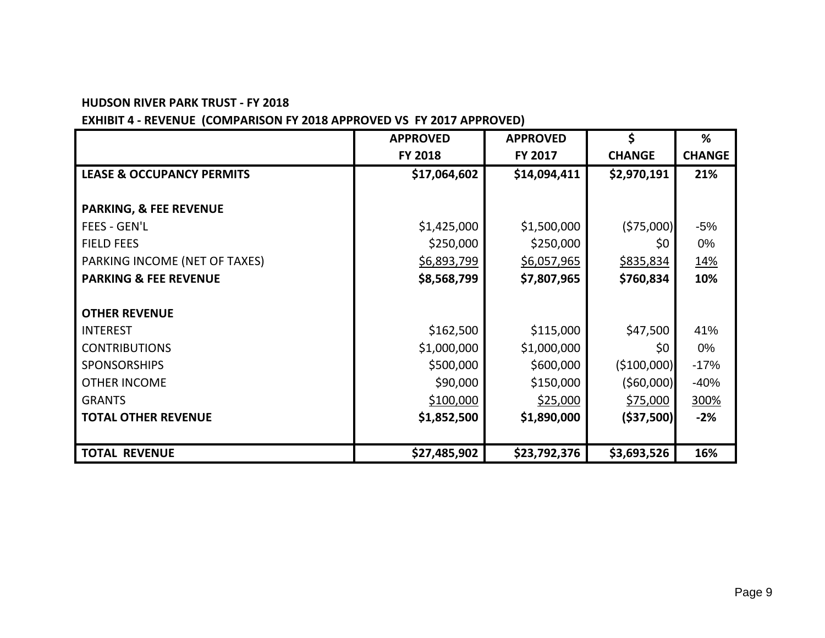#### **HUDSON RIVER PARK TRUST - FY 2018**

# **EXHIBIT 4 - REVENUE (COMPARISON FY 2018 APPROVED VS FY 2017 APPROVED)**

|                                      | <b>APPROVED</b> | <b>APPROVED</b> | $\mathsf{\dot{S}}$ | %             |
|--------------------------------------|-----------------|-----------------|--------------------|---------------|
|                                      | <b>FY 2018</b>  | FY 2017         | <b>CHANGE</b>      | <b>CHANGE</b> |
| <b>LEASE &amp; OCCUPANCY PERMITS</b> | \$17,064,602    | \$14,094,411    | \$2,970,191        | 21%           |
|                                      |                 |                 |                    |               |
| <b>PARKING, &amp; FEE REVENUE</b>    |                 |                 |                    |               |
| <b>FEES - GEN'L</b>                  | \$1,425,000     | \$1,500,000     | (575,000)          | $-5%$         |
| <b>FIELD FEES</b>                    | \$250,000       | \$250,000       | \$0                | 0%            |
| PARKING INCOME (NET OF TAXES)        | \$6,893,799     | \$6,057,965     | \$835,834          | <u> 14%</u>   |
| <b>PARKING &amp; FEE REVENUE</b>     | \$8,568,799     | \$7,807,965     | \$760,834          | 10%           |
|                                      |                 |                 |                    |               |
| <b>OTHER REVENUE</b>                 |                 |                 |                    |               |
| <b>INTEREST</b>                      | \$162,500       | \$115,000       | \$47,500           | 41%           |
| <b>CONTRIBUTIONS</b>                 | \$1,000,000     | \$1,000,000     | \$0                | 0%            |
| <b>SPONSORSHIPS</b>                  | \$500,000       | \$600,000       | (5100,000)         | $-17%$        |
| <b>OTHER INCOME</b>                  | \$90,000        | \$150,000       | ( \$60,000]        | $-40%$        |
| <b>GRANTS</b>                        | \$100,000       | \$25,000        | \$75,000           | 300%          |
| <b>TOTAL OTHER REVENUE</b>           | \$1,852,500     | \$1,890,000     | ( \$37,500)        | $-2%$         |
|                                      |                 |                 |                    |               |
| <b>TOTAL REVENUE</b>                 | \$27,485,902    | \$23,792,376    | \$3,693,526        | 16%           |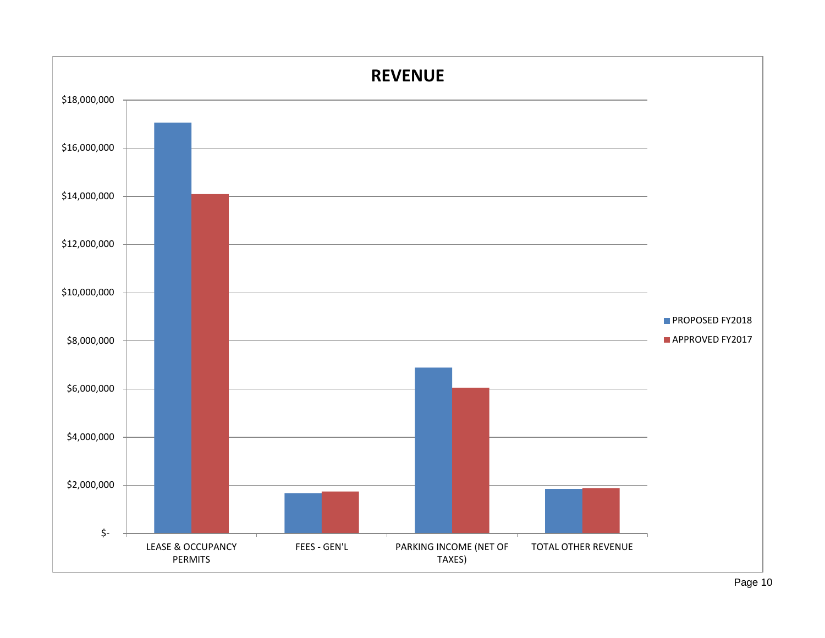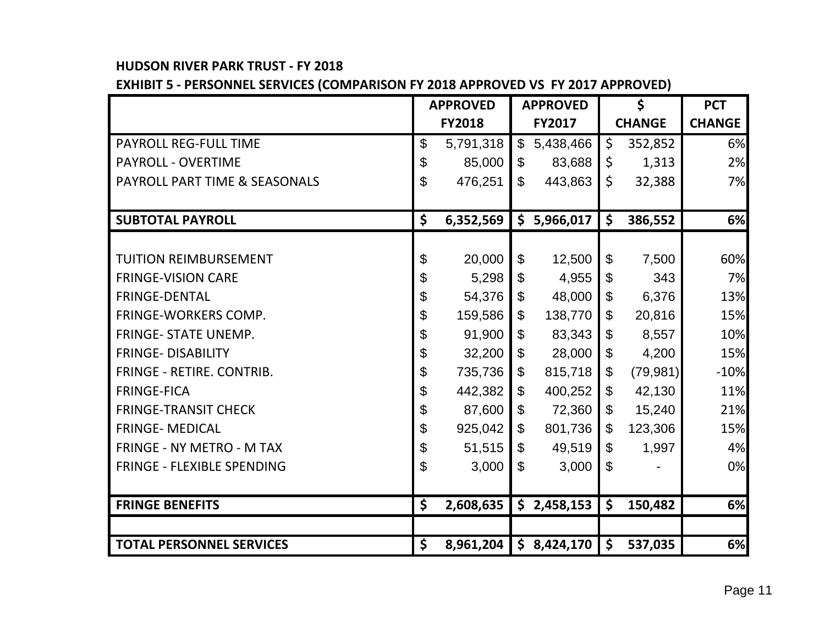# **HUDSON RIVER PARK TRUST - FY 2018**

**EXHIBIT 5 - PERSONNEL SERVICES (COMPARISON FY 2018 APPROVED VS FY 2017 APPROVED)**

|                                  | <b>APPROVED</b>       |           |                           | <b>APPROVED</b> |                           | $\boldsymbol{\zeta}$ | <b>PCT</b>    |
|----------------------------------|-----------------------|-----------|---------------------------|-----------------|---------------------------|----------------------|---------------|
|                                  | <b>FY2018</b>         |           | <b>FY2017</b>             |                 | <b>CHANGE</b>             |                      | <b>CHANGE</b> |
| <b>PAYROLL REG-FULL TIME</b>     | $\mathcal{L}$         | 5,791,318 | $\mathbb{S}$              | 5,438,466       | \$                        | 352,852              | 6%            |
| <b>PAYROLL - OVERTIME</b>        | \$                    | 85,000    | $\mathfrak{F}$            | 83,688          | \$                        | 1,313                | 2%            |
| PAYROLL PART TIME & SEASONALS    | $\mathfrak{S}$        | 476,251   | $\mathfrak{S}$            | 443,863         | \$                        | 32,388               | 7%            |
|                                  |                       |           |                           |                 |                           |                      |               |
| <b>SUBTOTAL PAYROLL</b>          | \$                    | 6,352,569 | \$                        | 5,966,017       | \$                        | 386,552              | 6%            |
|                                  |                       |           |                           |                 |                           |                      |               |
| <b>TUITION REIMBURSEMENT</b>     | $\boldsymbol{\theta}$ | 20,000    | \$                        | 12,500          | \$                        | 7,500                | 60%           |
| <b>FRINGE-VISION CARE</b>        | \$                    | 5,298     | \$                        | 4,955           | \$                        | 343                  | 7%            |
| <b>FRINGE-DENTAL</b>             | \$                    | 54,376    | $\boldsymbol{\mathsf{S}}$ | 48,000          | \$                        | 6,376                | 13%           |
| <b>FRINGE-WORKERS COMP.</b>      | \$                    | 159,586   | $\mathbb{S}$              | 138,770         | \$                        | 20,816               | 15%           |
| <b>FRINGE- STATE UNEMP.</b>      | \$                    | 91,900    | \$                        | 83,343          | $\boldsymbol{\mathsf{S}}$ | 8,557                | 10%           |
| <b>FRINGE- DISABILITY</b>        | \$                    | 32,200    | \$                        | 28,000          | \$                        | 4,200                | 15%           |
| FRINGE - RETIRE. CONTRIB.        | \$                    | 735,736   | \$                        | 815,718         | \$                        | (79, 981)            | $-10%$        |
| <b>FRINGE-FICA</b>               | \$                    | 442,382   | $\mathbb{S}$              | 400,252         | \$                        | 42,130               | 11%           |
| <b>FRINGE-TRANSIT CHECK</b>      | \$                    | 87,600    | \$                        | 72,360          | \$                        | 15,240               | 21%           |
| <b>FRINGE- MEDICAL</b>           | \$                    | 925,042   | $\mathfrak{S}$            | 801,736         | \$                        | 123,306              | 15%           |
| <b>FRINGE - NY METRO - M TAX</b> | \$                    | 51,515    | \$                        | 49,519          | \$                        | 1,997                | 4%            |
| FRINGE - FLEXIBLE SPENDING       | \$                    | 3,000     | $\mathfrak{S}$            | 3,000           | \$                        |                      | 0%            |
|                                  |                       |           |                           |                 |                           |                      |               |
| <b>FRINGE BENEFITS</b>           | \$                    | 2,608,635 |                           | \$2,458,153     | \$                        | 150,482              | 6%            |
|                                  |                       |           |                           |                 |                           |                      |               |
| <b>TOTAL PERSONNEL SERVICES</b>  | $\zeta$               | 8,961,204 |                           | \$8,424,170     | \$                        | 537,035              | 6%            |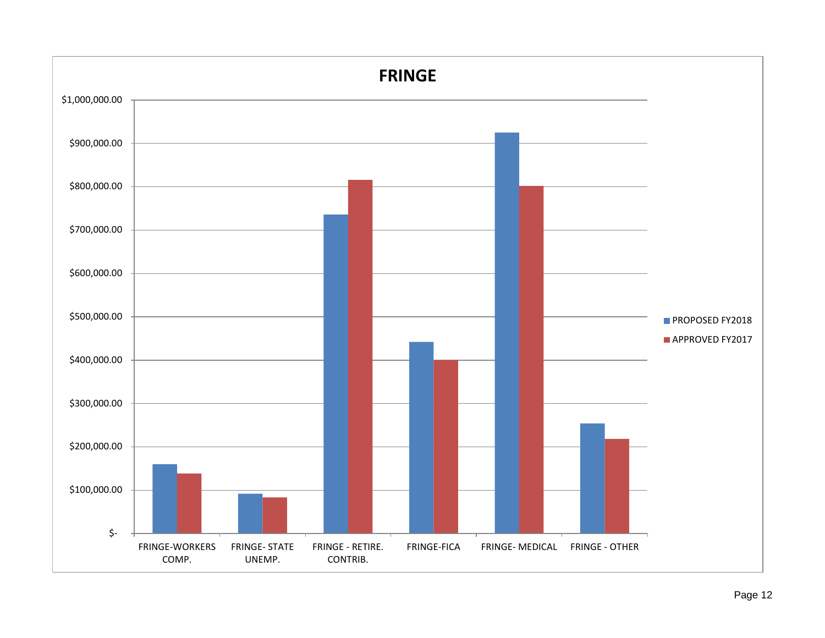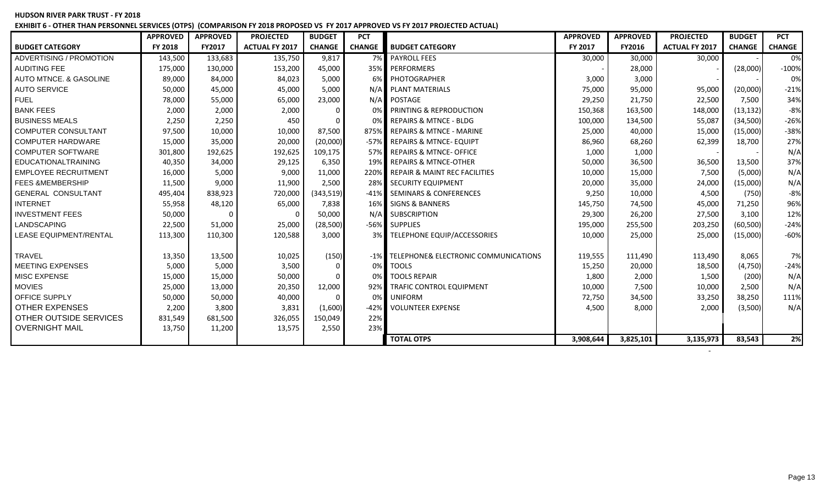#### **HUDSON RIVER PARK TRUST - FY 2018 EXHIBIT 6 - OTHER THAN PERSONNEL SERVICES (OTPS) (COMPARISON FY 2018 PROPOSED VS FY 2017 APPROVED VS FY 2017 PROJECTED ACTUAL)**

|                             | <b>APPROVED</b> | <b>APPROVED</b> | <b>PROJECTED</b>      | <b>BUDGET</b> | <b>PCT</b>    |                                          | <b>APPROVED</b> | <b>APPROVED</b> | <b>PROJECTED</b>      | <b>BUDGET</b> | <b>PCT</b>    |
|-----------------------------|-----------------|-----------------|-----------------------|---------------|---------------|------------------------------------------|-----------------|-----------------|-----------------------|---------------|---------------|
| <b>BUDGET CATEGORY</b>      | FY 2018         | <b>FY2017</b>   | <b>ACTUAL FY 2017</b> | <b>CHANGE</b> | <b>CHANGE</b> | <b>BUDGET CATEGORY</b>                   | FY 2017         | <b>FY2016</b>   | <b>ACTUAL FY 2017</b> | <b>CHANGE</b> | <b>CHANGE</b> |
| ADVERTISING / PROMOTION     | 143,500         | 133,683         | 135,750               | 9,817         | 7%            | <b>PAYROLL FEES</b>                      | 30,000          | 30,000          | 30,000                |               | 0%            |
| <b>AUDITING FEE</b>         | 175,000         | 130,000         | 153,200               | 45,000        | 35%           | PERFORMERS                               |                 | 28,000          |                       | (28,000)      | $-100%$       |
| AUTO MTNCE. & GASOLINE      | 89,000          | 84,000          | 84,023                | 5,000         | 6%            | PHOTOGRAPHER                             | 3,000           | 3,000           |                       |               | 0%            |
| <b>AUTO SERVICE</b>         | 50,000          | 45,000          | 45,000                | 5,000         | N/A           | <b>PLANT MATERIALS</b>                   | 75,000          | 95,000          | 95,000                | (20,000)      | $-21%$        |
| <b>FUEL</b>                 | 78,000          | 55,000          | 65,000                | 23,000        | N/A           | POSTAGE                                  | 29,250          | 21,750          | 22,500                | 7,500         | 34%           |
| <b>BANK FEES</b>            | 2,000           | 2,000           | 2,000                 | 0             | 0%            | PRINTING & REPRODUCTION                  | 150,368         | 163,500         | 148,000               | (13, 132)     | $-8%$         |
| <b>BUSINESS MEALS</b>       | 2,250           | 2,250           | 450                   | $\Omega$      | 0%            | <b>REPAIRS &amp; MTNCE - BLDG</b>        | 100,000         | 134,500         | 55,087                | (34,500)      | $-26%$        |
| COMPUTER CONSULTANT         | 97,500          | 10,000          | 10,000                | 87,500        | 875%          | <b>REPAIRS &amp; MTNCE - MARINE</b>      | 25,000          | 40,000          | 15,000                | (15,000)      | $-38%$        |
| <b>COMPUTER HARDWARE</b>    | 15,000          | 35,000          | 20,000                | (20,000)      | $-57%$        | <b>REPAIRS &amp; MTNCE- EQUIPT</b>       | 86,960          | 68,260          | 62,399                | 18,700        | 27%           |
| <b>COMPUTER SOFTWARE</b>    | 301,800         | 192,625         | 192,625               | 109,175       | 57%           | <b>REPAIRS &amp; MTNCE- OFFICE</b>       | 1,000           | 1,000           |                       |               | N/A           |
| <b>EDUCATIONALTRAINING</b>  | 40,350          | 34,000          | 29,125                | 6,350         | 19%           | <b>REPAIRS &amp; MTNCE-OTHER</b>         | 50,000          | 36,500          | 36,500                | 13,500        | 37%           |
| <b>EMPLOYEE RECRUITMENT</b> | 16,000          | 5,000           | 9,000                 | 11,000        | 220%          | <b>REPAIR &amp; MAINT REC FACILITIES</b> | 10,000          | 15,000          | 7,500                 | (5,000)       | N/A           |
| <b>FEES &amp;MEMBERSHIP</b> | 11,500          | 9,000           | 11,900                | 2,500         | 28%           | <b>SECURITY EQUIPMENT</b>                | 20,000          | 35,000          | 24,000                | (15,000)      | N/A           |
| <b>GENERAL CONSULTANT</b>   | 495,404         | 838,923         | 720,000               | (343,519)     | -41%          | <b>SEMINARS &amp; CONFERENCES</b>        | 9,250           | 10,000          | 4,500                 | (750)         | $-8%$         |
| <b>INTERNET</b>             | 55,958          | 48,120          | 65,000                | 7,838         | 16%           | <b>SIGNS &amp; BANNERS</b>               | 145,750         | 74,500          | 45,000                | 71,250        | 96%           |
| <b>INVESTMENT FEES</b>      | 50,000          |                 |                       | 50,000        | N/A           | <b>SUBSCRIPTION</b>                      | 29,300          | 26,200          | 27,500                | 3,100         | 12%           |
| LANDSCAPING                 | 22,500          | 51,000          | 25,000                | (28, 500)     |               | -56% SUPPLIES                            | 195,000         | 255,500         | 203,250               | (60, 500)     | $-24%$        |
| LEASE EQUIPMENT/RENTAL      | 113,300         | 110,300         | 120,588               | 3,000         | 3%            | TELEPHONE EQUIP/ACCESSORIES              | 10,000          | 25,000          | 25,000                | (15,000)      | $-60%$        |
|                             |                 |                 |                       |               |               |                                          |                 |                 |                       |               |               |
| <b>TRAVEL</b>               | 13,350          | 13,500          | 10,025                | (150)         |               | -1% TELEPHONE& ELECTRONIC COMMUNICATIONS | 119,555         | 111,490         | 113,490               | 8,065         | <b>7%</b>     |
| <b>MEETING EXPENSES</b>     | 5,000           | 5,000           | 3,500                 | $\Omega$      | 0%            | <b>TOOLS</b>                             | 15,250          | 20,000          | 18,500                | (4,750)       | $-24%$        |
| <b>MISC EXPENSE</b>         | 15,000          | 15,000          | 50,000                | $\Omega$      | 0%            | <b>TOOLS REPAIR</b>                      | 1,800           | 2,000           | 1,500                 | (200)         | N/A           |
| <b>MOVIES</b>               | 25,000          | 13,000          | 20,350                | 12,000        | 92%           | TRAFIC CONTROL EQUIPMENT                 | 10,000          | 7,500           | 10,000                | 2,500         | N/A           |
| <b>OFFICE SUPPLY</b>        | 50,000          | 50,000          | 40,000                | $\Omega$      | 0%            | <b>UNIFORM</b>                           | 72,750          | 34,500          | 33,250                | 38,250        | 111%          |
| <b>OTHER EXPENSES</b>       | 2,200           | 3,800           | 3,831                 | (1,600)       | $-42%$        | <b>VOLUNTEER EXPENSE</b>                 | 4,500           | 8,000           | 2,000                 | (3,500)       | N/A           |
| OTHER OUTSIDE SERVICES      | 831,549         | 681,500         | 326,055               | 150,049       | 22%           |                                          |                 |                 |                       |               |               |
| <b>OVERNIGHT MAIL</b>       | 13,750          | 11,200          | 13,575                | 2,550         | 23%           |                                          |                 |                 |                       |               |               |
|                             |                 |                 |                       |               |               | <b>TOTAL OTPS</b>                        | 3,908,644       | 3,825,101       | 3,135,973             | 83,543        | 2%            |

- 1990 - 1990 - 1991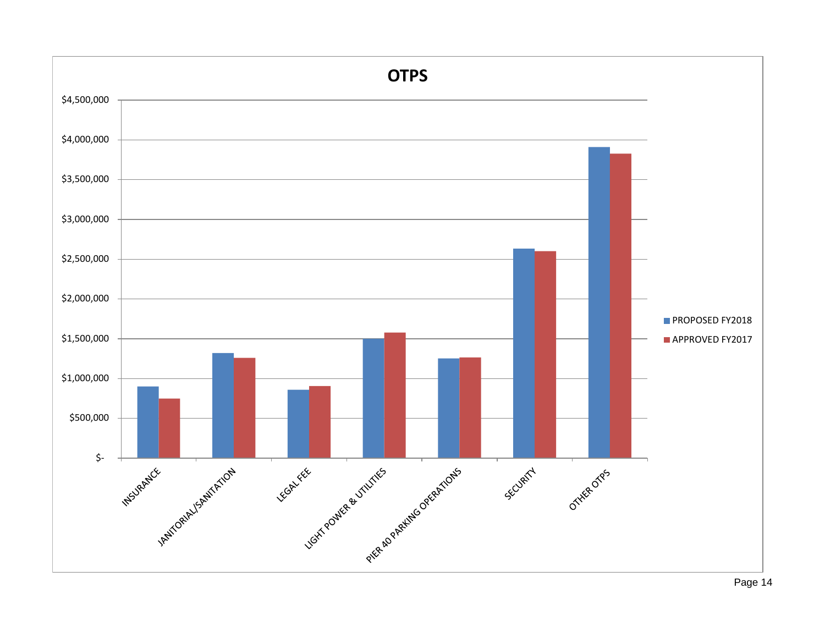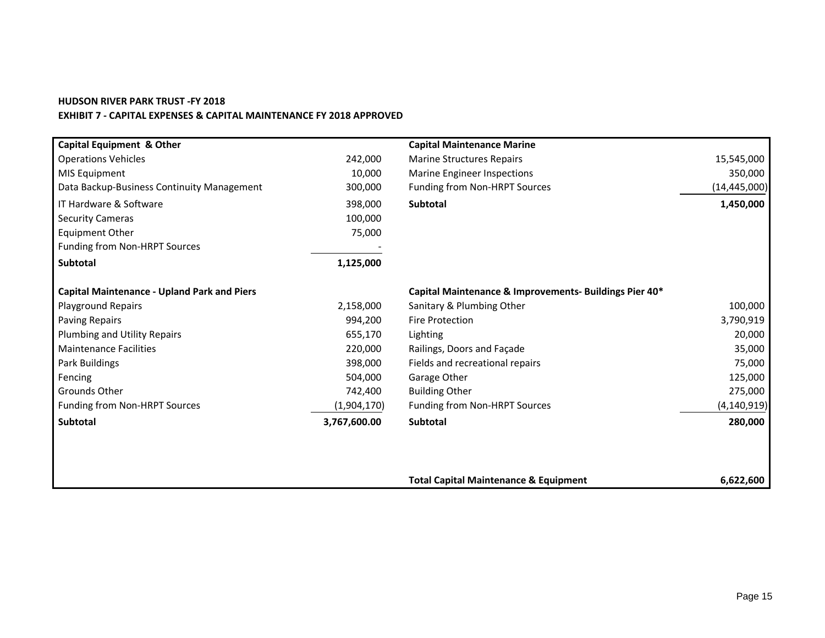#### **HUDSON RIVER PARK TRUST -FY 2018 EXHIBIT 7 - CAPITAL EXPENSES & CAPITAL MAINTENANCE FY 2018 APPROVED**

| <b>Capital Equipment &amp; Other</b>               |              | <b>Capital Maintenance Marine</b>                      |                |
|----------------------------------------------------|--------------|--------------------------------------------------------|----------------|
| <b>Operations Vehicles</b>                         | 242,000      | <b>Marine Structures Repairs</b>                       | 15,545,000     |
| MIS Equipment                                      | 10,000       | <b>Marine Engineer Inspections</b>                     | 350,000        |
| Data Backup-Business Continuity Management         | 300,000      | Funding from Non-HRPT Sources                          | (14, 445, 000) |
| IT Hardware & Software                             | 398,000      | Subtotal                                               | 1,450,000      |
| <b>Security Cameras</b>                            | 100,000      |                                                        |                |
| <b>Equipment Other</b>                             | 75,000       |                                                        |                |
| Funding from Non-HRPT Sources                      |              |                                                        |                |
| Subtotal                                           | 1,125,000    |                                                        |                |
| <b>Capital Maintenance - Upland Park and Piers</b> |              | Capital Maintenance & Improvements- Buildings Pier 40* |                |
| <b>Playground Repairs</b>                          | 2,158,000    | Sanitary & Plumbing Other                              | 100,000        |
| Paving Repairs                                     | 994,200      | <b>Fire Protection</b>                                 | 3,790,919      |
| Plumbing and Utility Repairs                       | 655,170      | Lighting                                               | 20,000         |
| <b>Maintenance Facilities</b>                      | 220,000      | Railings, Doors and Façade                             | 35,000         |
| Park Buildings                                     | 398,000      | Fields and recreational repairs                        | 75,000         |
| Fencing                                            | 504,000      | Garage Other                                           | 125,000        |
| Grounds Other                                      | 742,400      | <b>Building Other</b>                                  | 275,000        |
| Funding from Non-HRPT Sources                      | (1,904,170)  | Funding from Non-HRPT Sources                          | (4, 140, 919)  |
| <b>Subtotal</b>                                    | 3,767,600.00 | <b>Subtotal</b>                                        | 280,000        |
|                                                    |              |                                                        |                |
|                                                    |              | <b>Total Capital Maintenance &amp; Equipment</b>       | 6,622,600      |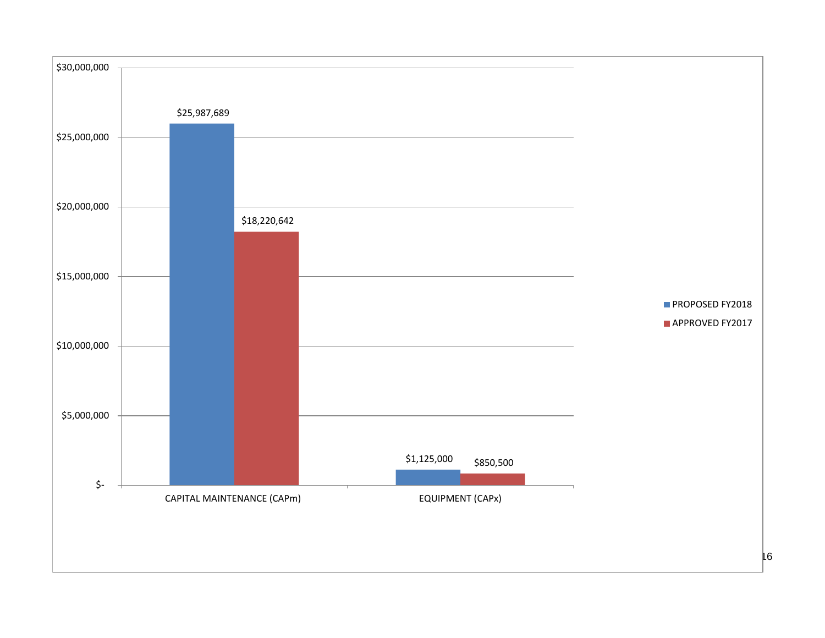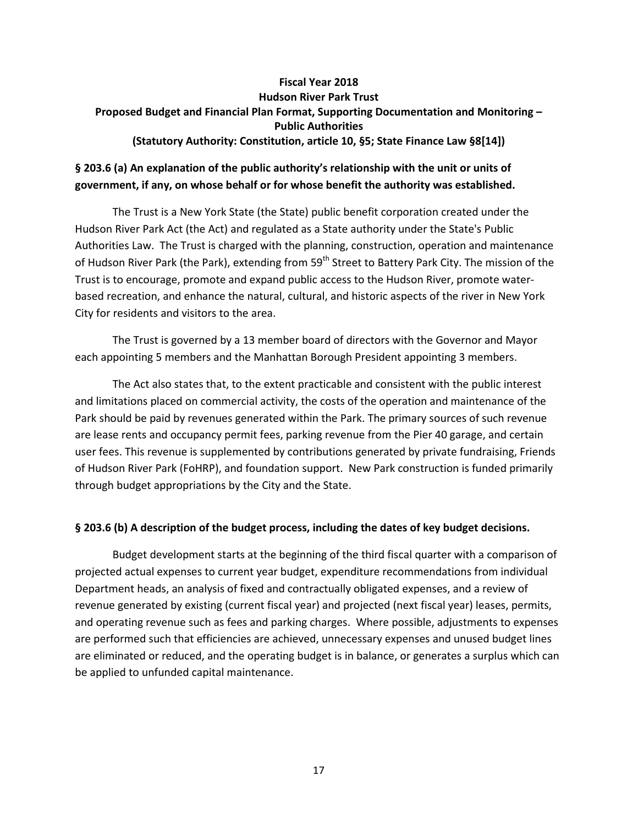#### **Fiscal Year 2018 Hudson River Park Trust Proposed Budget and Financial Plan Format, Supporting Documentation and Monitoring – Public Authorities (Statutory Authority: Constitution, article 10, §5; State Finance Law §8[14])**

# **§ 203.6 (a) An explanation of the public authority's relationship with the unit or units of government, if any, on whose behalf or for whose benefit the authority was established.**

The Trust is a New York State (the State) public benefit corporation created under the Hudson River Park Act (the Act) and regulated as a State authority under the State's Public Authorities Law. The Trust is charged with the planning, construction, operation and maintenance of Hudson River Park (the Park), extending from 59<sup>th</sup> Street to Battery Park City. The mission of the Trust is to encourage, promote and expand public access to the Hudson River, promote waterbased recreation, and enhance the natural, cultural, and historic aspects of the river in New York City for residents and visitors to the area.

The Trust is governed by a 13 member board of directors with the Governor and Mayor each appointing 5 members and the Manhattan Borough President appointing 3 members.

The Act also states that, to the extent practicable and consistent with the public interest and limitations placed on commercial activity, the costs of the operation and maintenance of the Park should be paid by revenues generated within the Park. The primary sources of such revenue are lease rents and occupancy permit fees, parking revenue from the Pier 40 garage, and certain user fees. This revenue is supplemented by contributions generated by private fundraising, Friends of Hudson River Park (FoHRP), and foundation support. New Park construction is funded primarily through budget appropriations by the City and the State.

#### **§ 203.6 (b) A description of the budget process, including the dates of key budget decisions.**

Budget development starts at the beginning of the third fiscal quarter with a comparison of projected actual expenses to current year budget, expenditure recommendations from individual Department heads, an analysis of fixed and contractually obligated expenses, and a review of revenue generated by existing (current fiscal year) and projected (next fiscal year) leases, permits, and operating revenue such as fees and parking charges. Where possible, adjustments to expenses are performed such that efficiencies are achieved, unnecessary expenses and unused budget lines are eliminated or reduced, and the operating budget is in balance, or generates a surplus which can be applied to unfunded capital maintenance.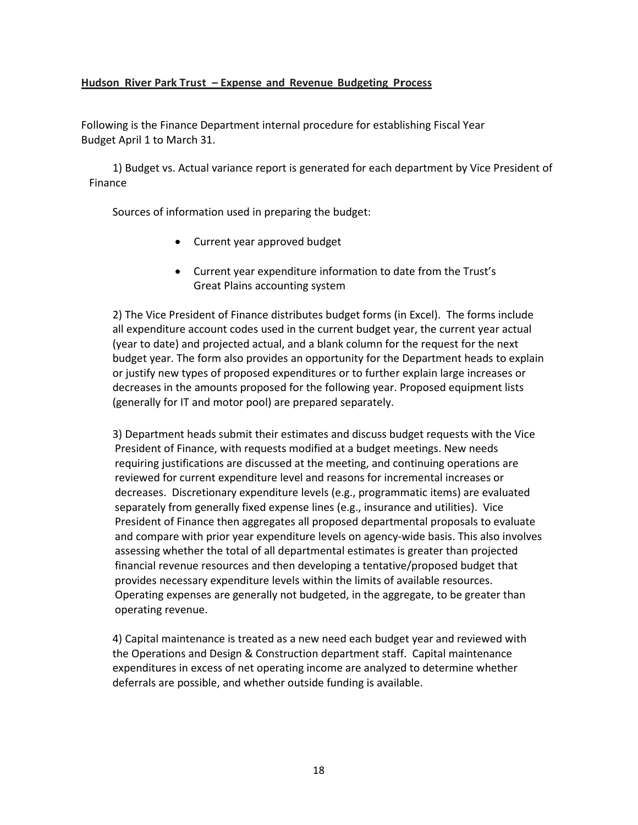#### **Hudson River Park Trust – Expense and Revenue Budgeting Process**

Following is the Finance Department internal procedure for establishing Fiscal Year Budget April 1 to March 31.

1) Budget vs. Actual variance report is generated for each department by Vice President of Finance

Sources of information used in preparing the budget:

- Current year approved budget
- Current year expenditure information to date from the Trust's Great Plains accounting system

2) The Vice President of Finance distributes budget forms (in Excel). The forms include all expenditure account codes used in the current budget year, the current year actual (year to date) and projected actual, and a blank column for the request for the next budget year. The form also provides an opportunity for the Department heads to explain or justify new types of proposed expenditures or to further explain large increases or decreases in the amounts proposed for the following year. Proposed equipment lists (generally for IT and motor pool) are prepared separately.

3) Department heads submit their estimates and discuss budget requests with the Vice President of Finance, with requests modified at a budget meetings. New needs requiring justifications are discussed at the meeting, and continuing operations are reviewed for current expenditure level and reasons for incremental increases or decreases. Discretionary expenditure levels (e.g., programmatic items) are evaluated separately from generally fixed expense lines (e.g., insurance and utilities). Vice President of Finance then aggregates all proposed departmental proposals to evaluate and compare with prior year expenditure levels on agency-wide basis. This also involves assessing whether the total of all departmental estimates is greater than projected financial revenue resources and then developing a tentative/proposed budget that provides necessary expenditure levels within the limits of available resources. Operating expenses are generally not budgeted, in the aggregate, to be greater than operating revenue.

4) Capital maintenance is treated as a new need each budget year and reviewed with the Operations and Design & Construction department staff. Capital maintenance expenditures in excess of net operating income are analyzed to determine whether deferrals are possible, and whether outside funding is available.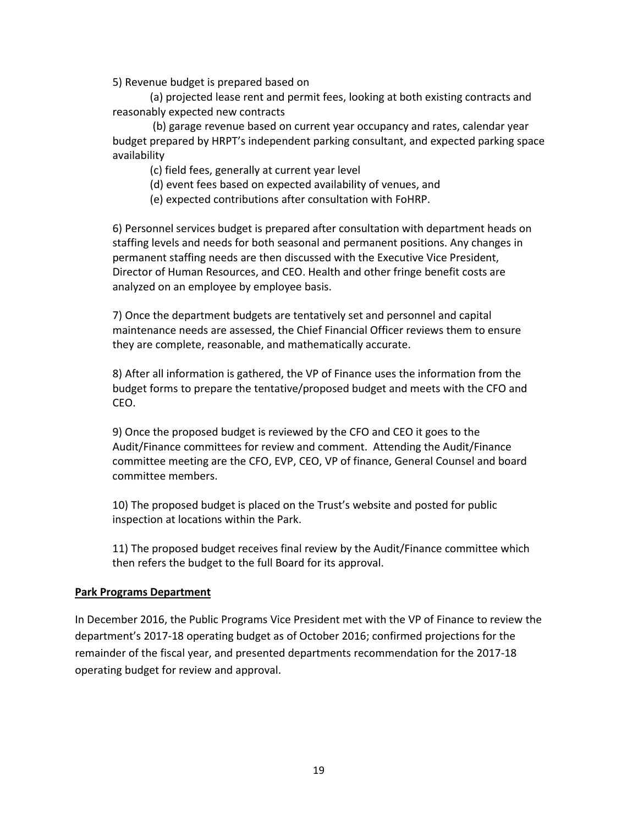5) Revenue budget is prepared based on

(a) projected lease rent and permit fees, looking at both existing contracts and reasonably expected new contracts

(b) garage revenue based on current year occupancy and rates, calendar year budget prepared by HRPT's independent parking consultant, and expected parking space availability

(c) field fees, generally at current year level

(d) event fees based on expected availability of venues, and

(e) expected contributions after consultation with FoHRP.

6) Personnel services budget is prepared after consultation with department heads on staffing levels and needs for both seasonal and permanent positions. Any changes in permanent staffing needs are then discussed with the Executive Vice President, Director of Human Resources, and CEO. Health and other fringe benefit costs are analyzed on an employee by employee basis.

7) Once the department budgets are tentatively set and personnel and capital maintenance needs are assessed, the Chief Financial Officer reviews them to ensure they are complete, reasonable, and mathematically accurate.

8) After all information is gathered, the VP of Finance uses the information from the budget forms to prepare the tentative/proposed budget and meets with the CFO and CEO.

9) Once the proposed budget is reviewed by the CFO and CEO it goes to the Audit/Finance committees for review and comment. Attending the Audit/Finance committee meeting are the CFO, EVP, CEO, VP of finance, General Counsel and board committee members.

10) The proposed budget is placed on the Trust's website and posted for public inspection at locations within the Park.

11) The proposed budget receives final review by the Audit/Finance committee which then refers the budget to the full Board for its approval.

#### **Park Programs Department**

In December 2016, the Public Programs Vice President met with the VP of Finance to review the department's 2017-18 operating budget as of October 2016; confirmed projections for the remainder of the fiscal year, and presented departments recommendation for the 2017-18 operating budget for review and approval.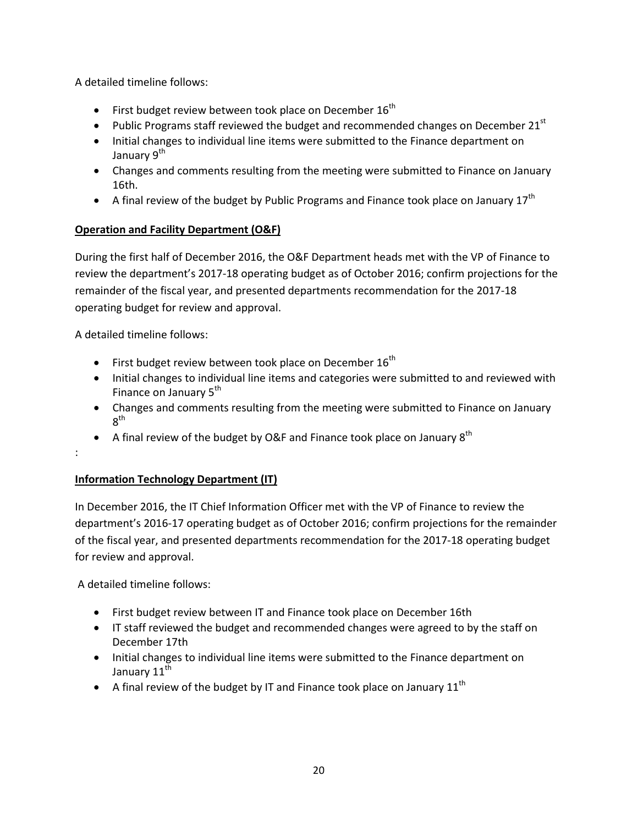A detailed timeline follows:

- First budget review between took place on December  $16^{th}$
- Public Programs staff reviewed the budget and recommended changes on December 21 $^{\rm st}$
- Initial changes to individual line items were submitted to the Finance department on January 9<sup>th</sup>
- Changes and comments resulting from the meeting were submitted to Finance on January 16th.
- A final review of the budget by Public Programs and Finance took place on January  $17^{th}$

# **Operation and Facility Department (O&F)**

During the first half of December 2016, the O&F Department heads met with the VP of Finance to review the department's 2017-18 operating budget as of October 2016; confirm projections for the remainder of the fiscal year, and presented departments recommendation for the 2017-18 operating budget for review and approval.

A detailed timeline follows:

:

- First budget review between took place on December  $16^{th}$
- Initial changes to individual line items and categories were submitted to and reviewed with Finance on January 5<sup>th</sup>
- Changes and comments resulting from the meeting were submitted to Finance on January 8th
- A final review of the budget by O&F and Finance took place on January  $8^{th}$

# **Information Technology Department (IT)**

In December 2016, the IT Chief Information Officer met with the VP of Finance to review the department's 2016-17 operating budget as of October 2016; confirm projections for the remainder of the fiscal year, and presented departments recommendation for the 2017-18 operating budget for review and approval.

A detailed timeline follows:

- First budget review between IT and Finance took place on December 16th
- IT staff reviewed the budget and recommended changes were agreed to by the staff on December 17th
- Initial changes to individual line items were submitted to the Finance department on January 11<sup>th</sup>
- A final review of the budget by IT and Finance took place on January  $11^{th}$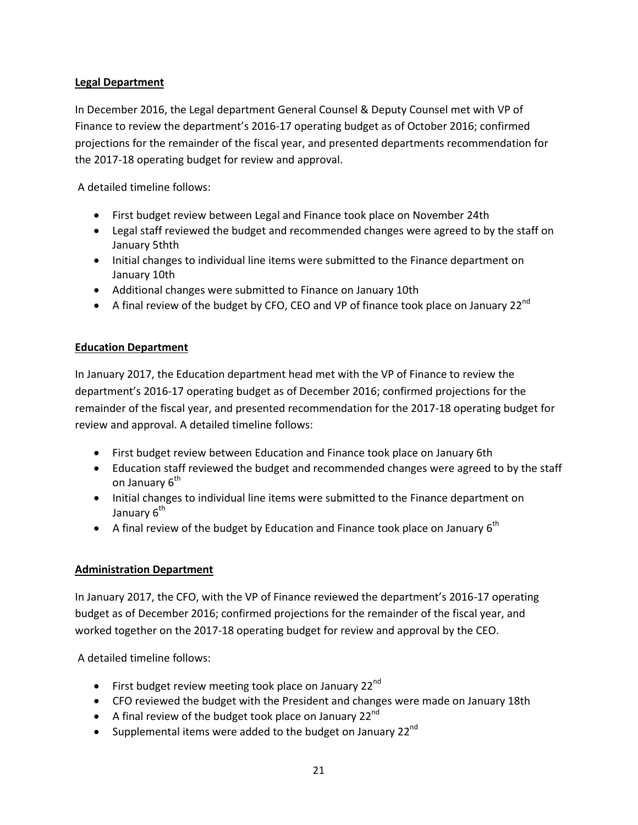## **Legal Department**

In December 2016, the Legal department General Counsel & Deputy Counsel met with VP of Finance to review the department's 2016-17 operating budget as of October 2016; confirmed projections for the remainder of the fiscal year, and presented departments recommendation for the 2017-18 operating budget for review and approval.

A detailed timeline follows:

- First budget review between Legal and Finance took place on November 24th
- Legal staff reviewed the budget and recommended changes were agreed to by the staff on January 5thth
- Initial changes to individual line items were submitted to the Finance department on January 10th
- Additional changes were submitted to Finance on January 10th
- A final review of the budget by CFO, CEO and VP of finance took place on January 22 $^{nd}$

#### **Education Department**

In January 2017, the Education department head met with the VP of Finance to review the department's 2016-17 operating budget as of December 2016; confirmed projections for the remainder of the fiscal year, and presented recommendation for the 2017-18 operating budget for review and approval. A detailed timeline follows:

- First budget review between Education and Finance took place on January 6th
- Education staff reviewed the budget and recommended changes were agreed to by the staff on January 6<sup>th</sup>
- Initial changes to individual line items were submitted to the Finance department on January 6<sup>th</sup>
- A final review of the budget by Education and Finance took place on January  $6^{th}$

#### **Administration Department**

In January 2017, the CFO, with the VP of Finance reviewed the department's 2016-17 operating budget as of December 2016; confirmed projections for the remainder of the fiscal year, and worked together on the 2017-18 operating budget for review and approval by the CEO.

A detailed timeline follows:

- First budget review meeting took place on January 22 $^{\text{nd}}$
- CFO reviewed the budget with the President and changes were made on January 18th
- A final review of the budget took place on January 22 $^{\text{nd}}$
- Supplemental items were added to the budget on January 22 $^{\text{nd}}$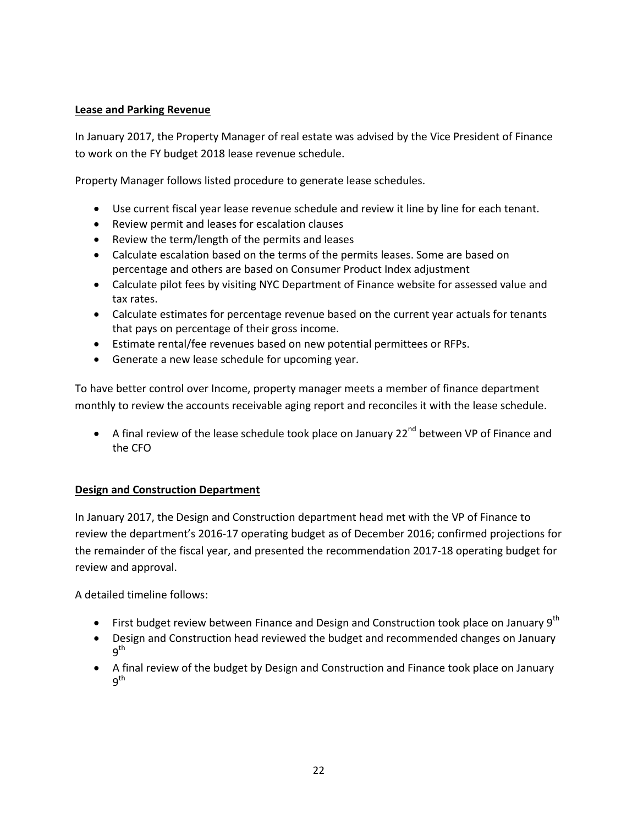#### **Lease and Parking Revenue**

In January 2017, the Property Manager of real estate was advised by the Vice President of Finance to work on the FY budget 2018 lease revenue schedule.

Property Manager follows listed procedure to generate lease schedules.

- Use current fiscal year lease revenue schedule and review it line by line for each tenant.
- Review permit and leases for escalation clauses
- Review the term/length of the permits and leases
- Calculate escalation based on the terms of the permits leases. Some are based on percentage and others are based on Consumer Product Index adjustment
- Calculate pilot fees by visiting NYC Department of Finance website for assessed value and tax rates.
- Calculate estimates for percentage revenue based on the current year actuals for tenants that pays on percentage of their gross income.
- Estimate rental/fee revenues based on new potential permittees or RFPs.
- Generate a new lease schedule for upcoming year.

To have better control over Income, property manager meets a member of finance department monthly to review the accounts receivable aging report and reconciles it with the lease schedule.

• A final review of the lease schedule took place on January  $22^{nd}$  between VP of Finance and the CFO

#### **Design and Construction Department**

In January 2017, the Design and Construction department head met with the VP of Finance to review the department's 2016-17 operating budget as of December 2016; confirmed projections for the remainder of the fiscal year, and presented the recommendation 2017-18 operating budget for review and approval.

A detailed timeline follows:

- First budget review between Finance and Design and Construction took place on January  $9<sup>th</sup>$
- Design and Construction head reviewed the budget and recommended changes on January q<sup>th</sup>
- A final review of the budget by Design and Construction and Finance took place on January q<sup>th</sup>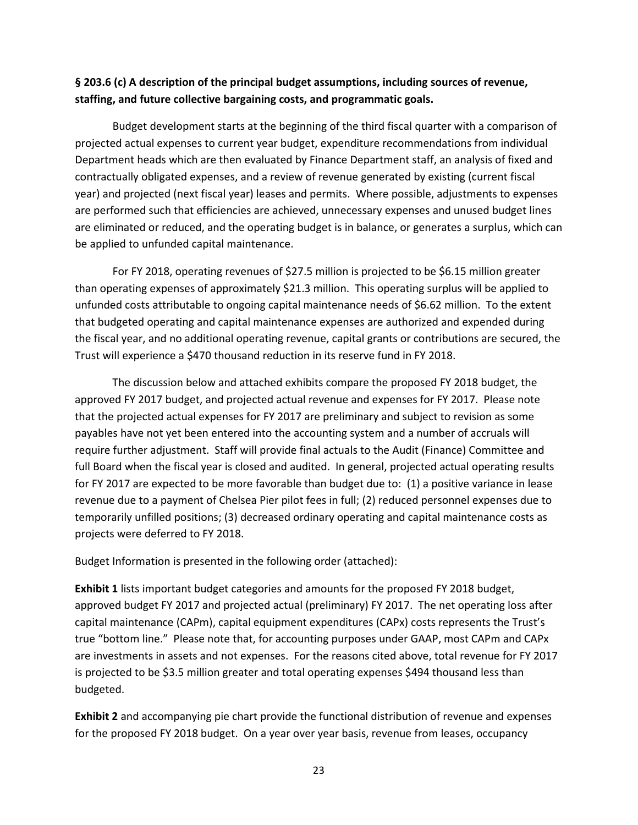# **§ 203.6 (c) A description of the principal budget assumptions, including sources of revenue, staffing, and future collective bargaining costs, and programmatic goals.**

Budget development starts at the beginning of the third fiscal quarter with a comparison of projected actual expenses to current year budget, expenditure recommendations from individual Department heads which are then evaluated by Finance Department staff, an analysis of fixed and contractually obligated expenses, and a review of revenue generated by existing (current fiscal year) and projected (next fiscal year) leases and permits. Where possible, adjustments to expenses are performed such that efficiencies are achieved, unnecessary expenses and unused budget lines are eliminated or reduced, and the operating budget is in balance, or generates a surplus, which can be applied to unfunded capital maintenance.

For FY 2018, operating revenues of \$27.5 million is projected to be \$6.15 million greater than operating expenses of approximately \$21.3 million. This operating surplus will be applied to unfunded costs attributable to ongoing capital maintenance needs of \$6.62 million. To the extent that budgeted operating and capital maintenance expenses are authorized and expended during the fiscal year, and no additional operating revenue, capital grants or contributions are secured, the Trust will experience a \$470 thousand reduction in its reserve fund in FY 2018.

The discussion below and attached exhibits compare the proposed FY 2018 budget, the approved FY 2017 budget, and projected actual revenue and expenses for FY 2017. Please note that the projected actual expenses for FY 2017 are preliminary and subject to revision as some payables have not yet been entered into the accounting system and a number of accruals will require further adjustment. Staff will provide final actuals to the Audit (Finance) Committee and full Board when the fiscal year is closed and audited. In general, projected actual operating results for FY 2017 are expected to be more favorable than budget due to: (1) a positive variance in lease revenue due to a payment of Chelsea Pier pilot fees in full; (2) reduced personnel expenses due to temporarily unfilled positions; (3) decreased ordinary operating and capital maintenance costs as projects were deferred to FY 2018.

Budget Information is presented in the following order (attached):

**Exhibit 1** lists important budget categories and amounts for the proposed FY 2018 budget, approved budget FY 2017 and projected actual (preliminary) FY 2017. The net operating loss after capital maintenance (CAPm), capital equipment expenditures (CAPx) costs represents the Trust's true "bottom line." Please note that, for accounting purposes under GAAP, most CAPm and CAPx are investments in assets and not expenses. For the reasons cited above, total revenue for FY 2017 is projected to be \$3.5 million greater and total operating expenses \$494 thousand less than budgeted.

**Exhibit 2** and accompanying pie chart provide the functional distribution of revenue and expenses for the proposed FY 2018 budget. On a year over year basis, revenue from leases, occupancy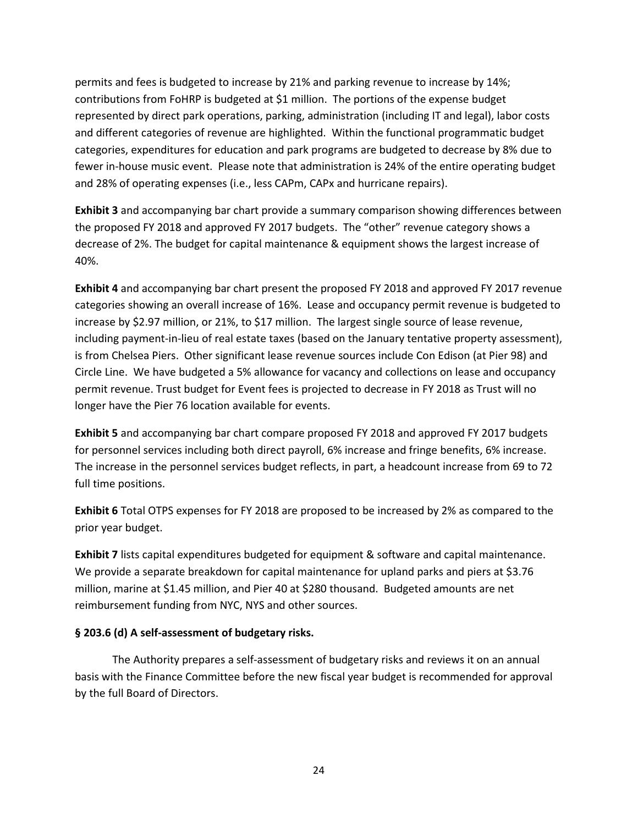permits and fees is budgeted to increase by 21% and parking revenue to increase by 14%; contributions from FoHRP is budgeted at \$1 million. The portions of the expense budget represented by direct park operations, parking, administration (including IT and legal), labor costs and different categories of revenue are highlighted. Within the functional programmatic budget categories, expenditures for education and park programs are budgeted to decrease by 8% due to fewer in-house music event. Please note that administration is 24% of the entire operating budget and 28% of operating expenses (i.e., less CAPm, CAPx and hurricane repairs).

**Exhibit 3** and accompanying bar chart provide a summary comparison showing differences between the proposed FY 2018 and approved FY 2017 budgets. The "other" revenue category shows a decrease of 2%. The budget for capital maintenance & equipment shows the largest increase of 40%.

**Exhibit 4** and accompanying bar chart present the proposed FY 2018 and approved FY 2017 revenue categories showing an overall increase of 16%. Lease and occupancy permit revenue is budgeted to increase by \$2.97 million, or 21%, to \$17 million. The largest single source of lease revenue, including payment-in-lieu of real estate taxes (based on the January tentative property assessment), is from Chelsea Piers. Other significant lease revenue sources include Con Edison (at Pier 98) and Circle Line. We have budgeted a 5% allowance for vacancy and collections on lease and occupancy permit revenue. Trust budget for Event fees is projected to decrease in FY 2018 as Trust will no longer have the Pier 76 location available for events.

**Exhibit 5** and accompanying bar chart compare proposed FY 2018 and approved FY 2017 budgets for personnel services including both direct payroll, 6% increase and fringe benefits, 6% increase. The increase in the personnel services budget reflects, in part, a headcount increase from 69 to 72 full time positions.

**Exhibit 6** Total OTPS expenses for FY 2018 are proposed to be increased by 2% as compared to the prior year budget.

**Exhibit 7** lists capital expenditures budgeted for equipment & software and capital maintenance. We provide a separate breakdown for capital maintenance for upland parks and piers at \$3.76 million, marine at \$1.45 million, and Pier 40 at \$280 thousand. Budgeted amounts are net reimbursement funding from NYC, NYS and other sources.

#### **§ 203.6 (d) A self-assessment of budgetary risks.**

The Authority prepares a self-assessment of budgetary risks and reviews it on an annual basis with the Finance Committee before the new fiscal year budget is recommended for approval by the full Board of Directors.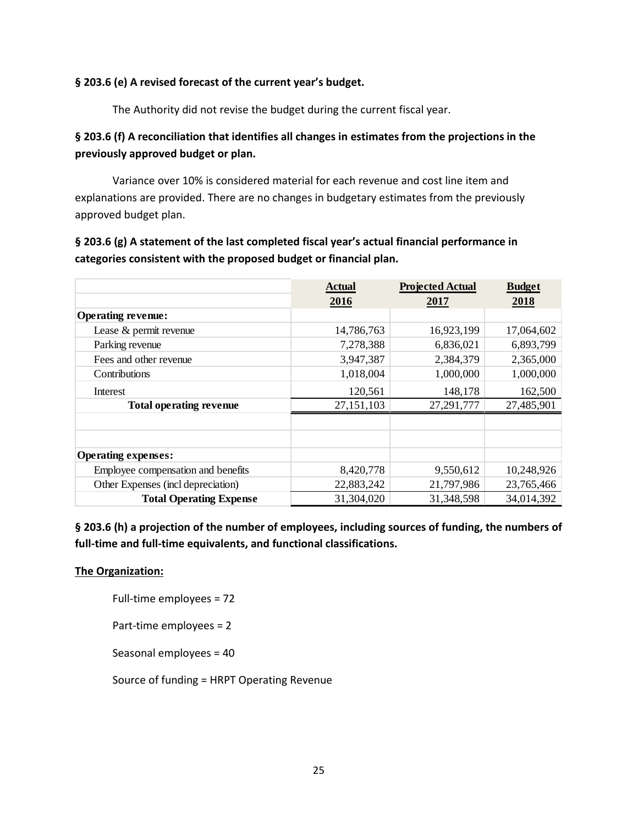#### **§ 203.6 (e) A revised forecast of the current year's budget.**

The Authority did not revise the budget during the current fiscal year.

# **§ 203.6 (f) A reconciliation that identifies all changes in estimates from the projections in the previously approved budget or plan.**

Variance over 10% is considered material for each revenue and cost line item and explanations are provided. There are no changes in budgetary estimates from the previously approved budget plan.

**§ 203.6 (g) A statement of the last completed fiscal year's actual financial performance in categories consistent with the proposed budget or financial plan.**

|                                    | <b>Actual</b> | <b>Projected Actual</b> | <b>Budget</b> |
|------------------------------------|---------------|-------------------------|---------------|
|                                    | 2016          | 2017                    | 2018          |
| <b>Operating revenue:</b>          |               |                         |               |
| Lease & permit revenue             | 14,786,763    | 16,923,199              | 17,064,602    |
| Parking revenue                    | 7,278,388     | 6,836,021               | 6,893,799     |
| Fees and other revenue             | 3,947,387     | 2,384,379               | 2,365,000     |
| Contributions                      | 1,018,004     | 1,000,000               | 1,000,000     |
| Interest                           | 120,561       | 148,178                 | 162,500       |
| <b>Total operating revenue</b>     | 27,151,103    | 27,291,777              | 27,485,901    |
|                                    |               |                         |               |
|                                    |               |                         |               |
| <b>Operating expenses:</b>         |               |                         |               |
| Employee compensation and benefits | 8,420,778     | 9,550,612               | 10,248,926    |
| Other Expenses (incl depreciation) | 22,883,242    | 21,797,986              | 23,765,466    |
| <b>Total Operating Expense</b>     | 31,304,020    | 31,348,598              | 34,014,392    |

**§ 203.6 (h) a projection of the number of employees, including sources of funding, the numbers of full-time and full-time equivalents, and functional classifications.**

#### **The Organization:**

Full-time employees = 72

Part-time employees = 2

Seasonal employees = 40

Source of funding = HRPT Operating Revenue